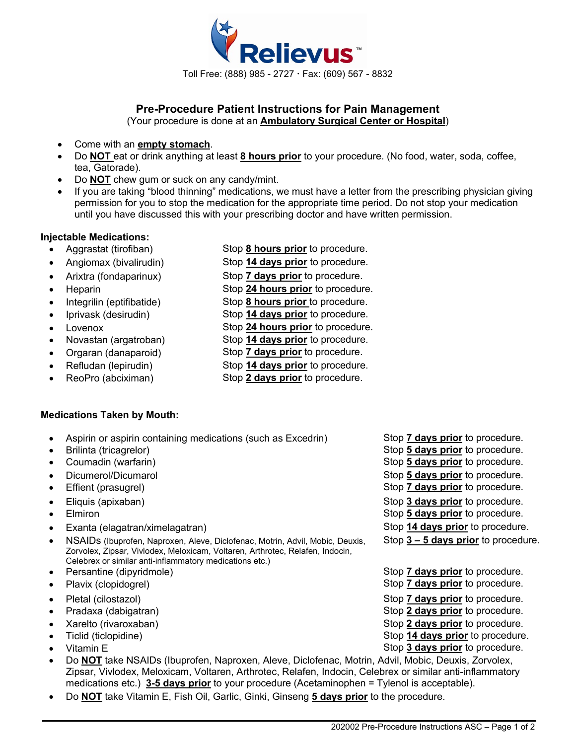

# **Pre-Procedure Patient Instructions for Pain Management**

(Your procedure is done at an **Ambulatory Surgical Center or Hospital**)

- Come with an **empty stomach**.
- Do **NOT** eat or drink anything at least **8 hours prior** to your procedure. (No food, water, soda, coffee, tea, Gatorade).
- Do **NOT** chew gum or suck on any candy/mint.
- If you are taking "blood thinning" medications, we must have a letter from the prescribing physician giving permission for you to stop the medication for the appropriate time period. Do not stop your medication until you have discussed this with your prescribing doctor and have written permission.

## **Injectable Medications:**

- Aggrastat (tirofiban) Stop **8 hours prior** to procedure.
- Angiomax (bivalirudin) Stop **14 days prior** to procedure.
- Arixtra (fondaparinux) Stop **7 days prior** to procedure.
- 
- Integrilin (eptifibatide) Stop **8 hours prior** to procedure.
- 
- 
- 
- Orgaran (danaparoid) Stop **7 days prior** to procedure.
- 
- 
- 
- 
- Heparin Stop **24 hours prior** to procedure.
	-
	- Iprivask (desirudin) Stop **14 days prior** to procedure.
		-
		-
		-
		-
- Refludan (lepirudin) Stop **14 days prior** to procedure.
	- ReoPro (abciximan) Stop **2 days prior** to procedure.

## **Medications Taken by Mouth:**

- Aspirin or aspirin containing medications (such as Excedrin) Stop **7 days prior** to procedure.
- 
- 
- 
- 
- 
- 
- 
- NSAIDs (Ibuprofen, Naproxen, Aleve, Diclofenac, Motrin, Advil, Mobic, Deuxis, Zorvolex, Zipsar, Vivlodex, Meloxicam, Voltaren, Arthrotec, Relafen, Indocin, Celebrex or similar anti-inflammatory medications etc.)
- 
- 
- 
- 
- 
- 
- - Do **NOT** take NSAIDs (Ibuprofen, Naproxen, Aleve, Diclofenac, Motrin, Advil, Mobic, Deuxis, Zorvolex, Zipsar, Vivlodex, Meloxicam, Voltaren, Arthrotec, Relafen, Indocin, Celebrex or similar anti-inflammatory medications etc.) **3-5 days prior** to your procedure (Acetaminophen = Tylenol is acceptable).
- Do **NOT** take Vitamin E, Fish Oil, Garlic, Ginki, Ginseng **5 days prior** to the procedure.
- 
- Brilinta (tricagrelor) **Fig. 2** Stop 5 days prior to procedure.
- Coumadin (warfarin) Stop **5 days prior** to procedure.
- Dicumerol/Dicumarol Stop **5 days prior** to procedure.
- Effient (prasugrel) Stop **7 days prior** to procedure.
- Eliquis (apixaban) Stop **3 days prior** to procedure.
	- Elmiron Stop **5 days prior** to procedure.
	- Exanta (elagatran/ximelagatran) Stop **14 days prior** to procedure.
		- Stop **3 – 5 days prior** to procedure.
- Persantine (dipyridmole) **Stop 7 days prior** to procedure. • Plavix (clopidogrel) Stop **7 days prior** to procedure.
- Pletal (cilostazol) **Stop 7 days prior** to procedure.
- Pradaxa (dabigatran) Stop 2 days prior to procedure.
	- Xarelto (rivaroxaban) Stop **2 days prior** to procedure.
	- Ticlid (ticlopidine) Stop **14 days prior** to procedure.
	- Vitamin E Stop **3 days prior** to procedure.
		- 202002 Pre-Procedure Instructions ASC Page 1 of 2
- 
- 
- Lovenox Stop **24 hours prior** to procedure. • Novastan (argatroban) Stop **14 days prior** to procedure.